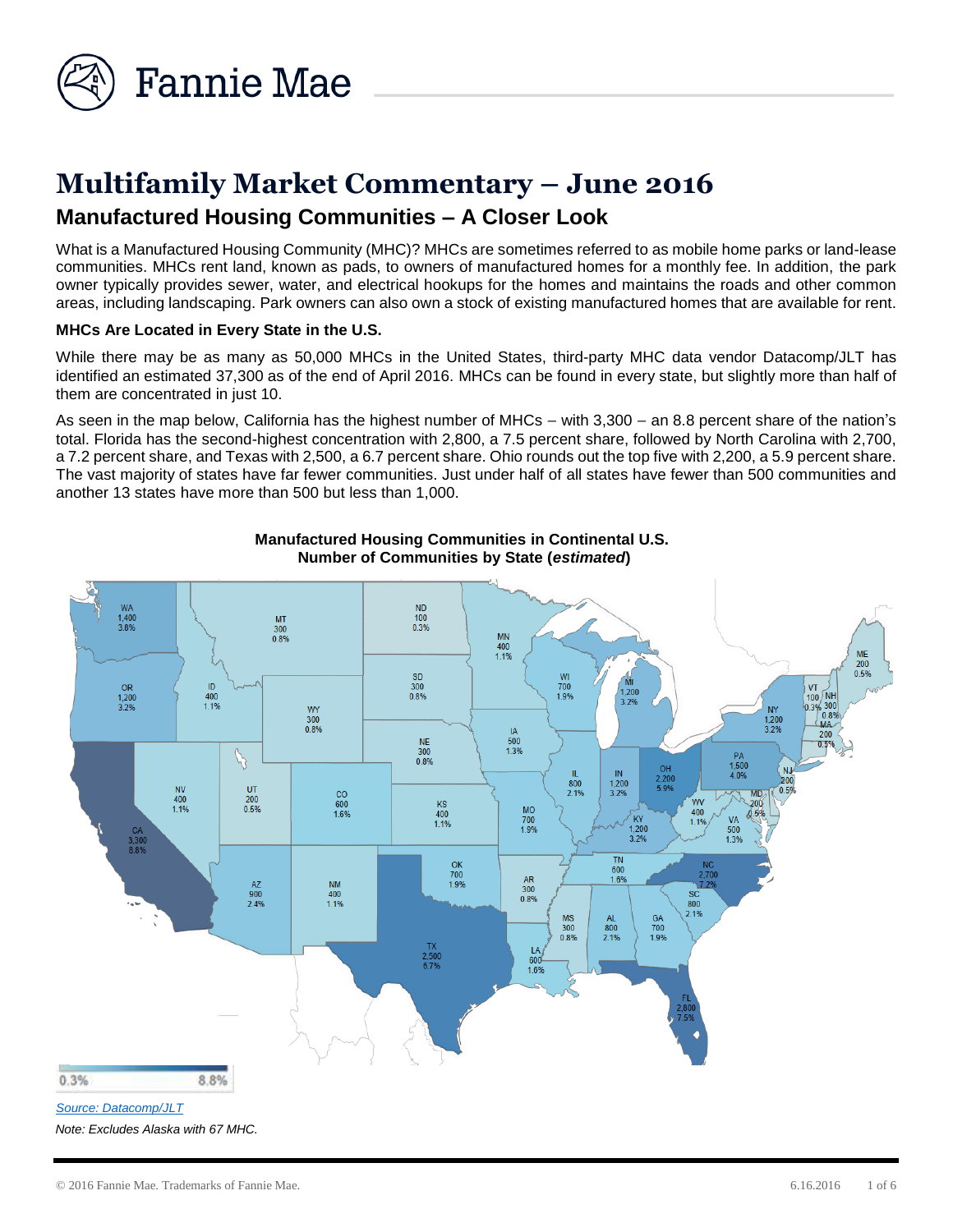

# **Multifamily Market Commentary – June 2016 Manufactured Housing Communities – A Closer Look**

What is a Manufactured Housing Community (MHC)? MHCs are sometimes referred to as mobile home parks or land-lease communities. MHCs rent land, known as pads, to owners of manufactured homes for a monthly fee. In addition, the park owner typically provides sewer, water, and electrical hookups for the homes and maintains the roads and other common areas, including landscaping. Park owners can also own a stock of existing manufactured homes that are available for rent.

### **MHCs Are Located in Every State in the U.S.**

While there may be as many as 50,000 MHCs in the United States, third-party MHC data vendor Datacomp/JLT has identified an estimated 37,300 as of the end of April 2016. MHCs can be found in every state, but slightly more than half of them are concentrated in just 10.

As seen in the map below, California has the highest number of MHCs – with 3,300 – an 8.8 percent share of the nation's total. Florida has the second-highest concentration with 2,800, a 7.5 percent share, followed by North Carolina with 2,700, a 7.2 percent share, and Texas with 2,500, a 6.7 percent share. Ohio rounds out the top five with 2,200, a 5.9 percent share. The vast majority of states have far fewer communities. Just under half of all states have fewer than 500 communities and another 13 states have more than 500 but less than 1,000.



*Note: Excludes Alaska with 67 MHC.*

# **Manufactured Housing Communities in Continental U.S. Number of Communities by State (***estimated***)**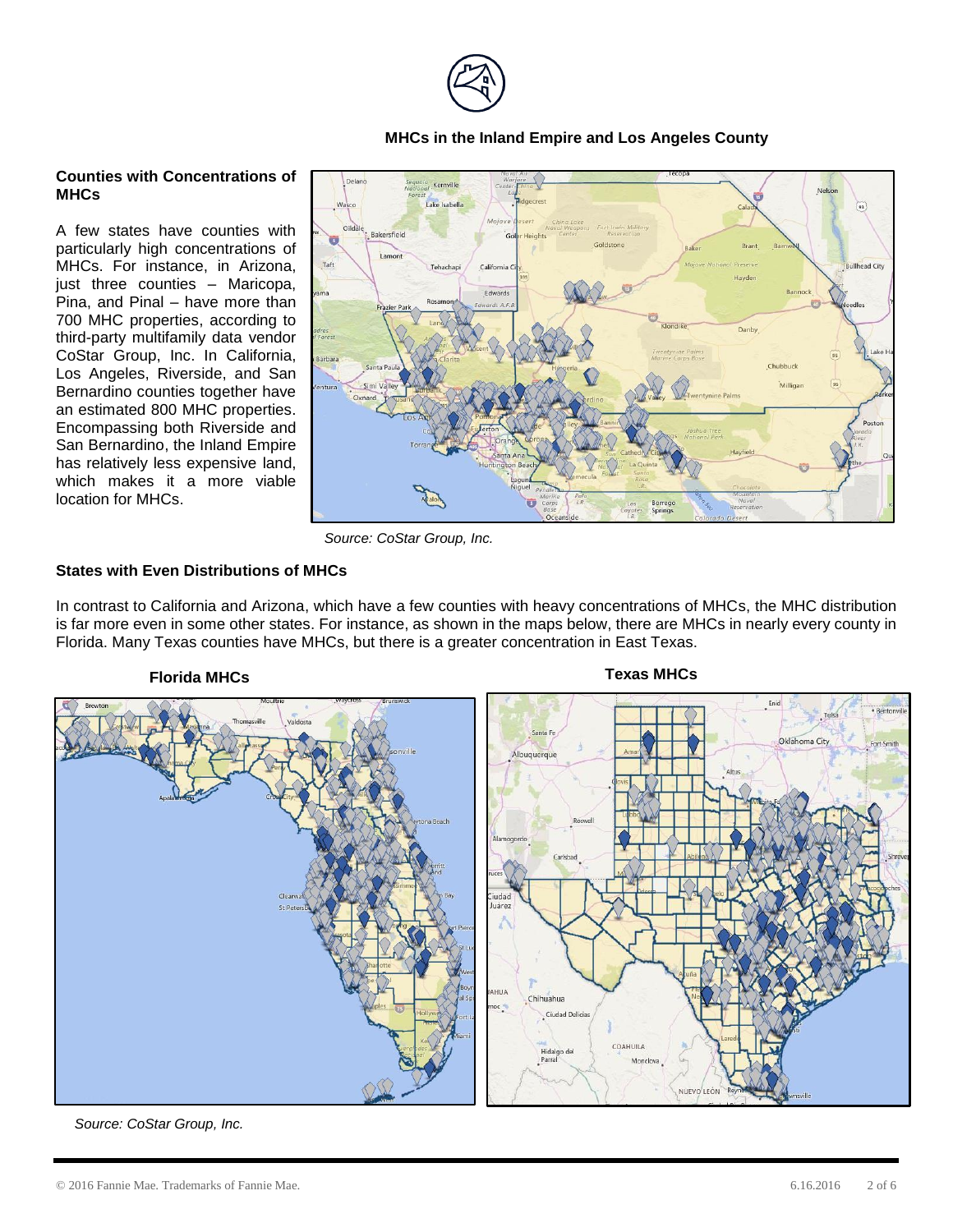

# **MHCs in the Inland Empire and Los Angeles County**

# **Counties with Concentrations of MHCs**

A few states have counties with particularly high concentrations of MHCs. For instance, in Arizona, just three counties – Maricopa, Pina, and Pinal – have more than 700 MHC properties, according to third-party multifamily data vendor CoStar Group, Inc. In California, Los Angeles, Riverside, and San Bernardino counties together have an estimated 800 MHC properties. Encompassing both Riverside and San Bernardino, the Inland Empire has relatively less expensive land, which makes it a more viable location for MHCs.



*Source: CoStar Group, Inc.*

# **States with Even Distributions of MHCs**

In contrast to California and Arizona, which have a few counties with heavy concentrations of MHCs, the MHC distribution is far more even in some other states. For instance, as shown in the maps below, there are MHCs in nearly every county in Florida. Many Texas counties have MHCs, but there is a greater concentration in East Texas.

# **Florida MHCs Texas MHCs**



*Source: CoStar Group, Inc.*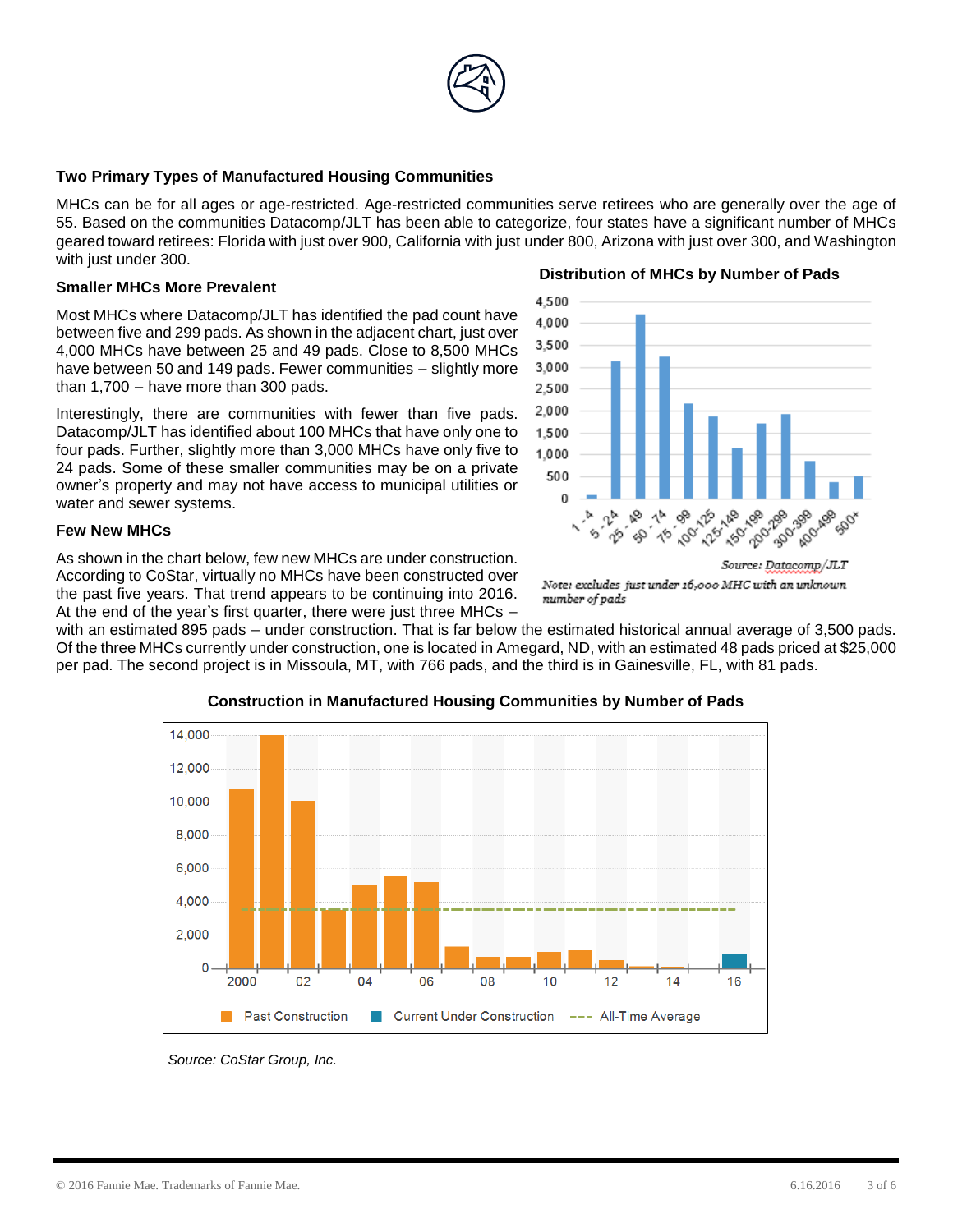

# **Two Primary Types of Manufactured Housing Communities**

MHCs can be for all ages or age-restricted. Age-restricted communities serve retirees who are generally over the age of 55. Based on the communities Datacomp/JLT has been able to categorize, four states have a significant number of MHCs geared toward retirees: Florida with just over 900, California with just under 800, Arizona with just over 300, and Washington with just under 300. **Distribution of MHCs by Number of Pads**

> 4.500 4.000 3.500 3.000 2.500 2,000 1.500 1.000 500 n

#### **Smaller MHCs More Prevalent**

Most MHCs where Datacomp/JLT has identified the pad count have between five and 299 pads. As shown in the adjacent chart, just over 4,000 MHCs have between 25 and 49 pads. Close to 8,500 MHCs have between 50 and 149 pads. Fewer communities – slightly more than 1,700 – have more than 300 pads.

Interestingly, there are communities with fewer than five pads. Datacomp/JLT has identified about 100 MHCs that have only one to four pads. Further, slightly more than 3,000 MHCs have only five to 24 pads. Some of these smaller communities may be on a private owner's property and may not have access to municipal utilities or water and sewer systems.

#### **Few New MHCs**

As shown in the chart below, few new MHCs are under construction. According to CoStar, virtually no MHCs have been constructed over the past five years. That trend appears to be continuing into 2016. At the end of the year's first quarter, there were just three MHCs –

with an estimated 895 pads – under construction. That is far below the estimated historical annual average of 3,500 pads. Of the three MHCs currently under construction, one is located in Amegard, ND, with an estimated 48 pads priced at \$25,000 per pad. The second project is in Missoula, MT, with 766 pads, and the third is in Gainesville, FL, with 81 pads.



**Construction in Manufactured Housing Communities by Number of Pads**

*Source: CoStar Group, Inc.*

24.99

v

1251,49

1180-200

1902.06 1201.40

1404.49

Source: Datacomp/JLT Note: excludes just under 16,000 MHC with an unknown number of pads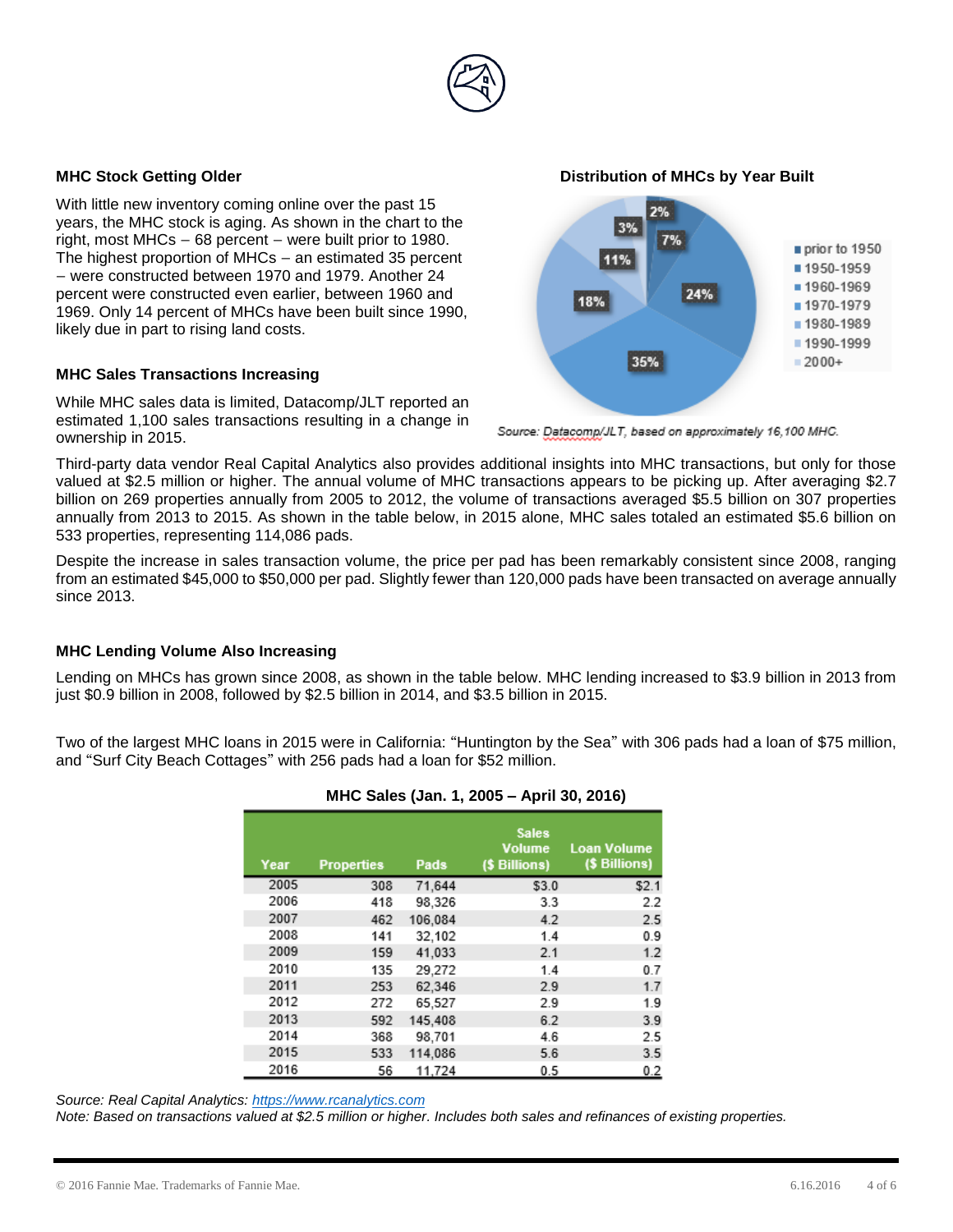

With little new inventory coming online over the past 15 years, the MHC stock is aging. As shown in the chart to the right, most MHCs – 68 percent – were built prior to 1980. The highest proportion of MHCs – an estimated 35 percent – were constructed between 1970 and 1979. Another 24 percent were constructed even earlier, between 1960 and 1969. Only 14 percent of MHCs have been built since 1990, likely due in part to rising land costs.

#### **MHC Sales Transactions Increasing**

While MHC sales data is limited, Datacomp/JLT reported an estimated 1,100 sales transactions resulting in a change in ownership in 2015.

**MHC Stock Getting Older Distribution of MHCs by Year Built**



Source: Datacomp/JLT, based on approximately 16,100 MHC.

Third-party data vendor Real Capital Analytics also provides additional insights into MHC transactions, but only for those valued at \$2.5 million or higher. The annual volume of MHC transactions appears to be picking up. After averaging \$2.7 billion on 269 properties annually from 2005 to 2012, the volume of transactions averaged \$5.5 billion on 307 properties annually from 2013 to 2015. As shown in the table below, in 2015 alone, MHC sales totaled an estimated \$5.6 billion on 533 properties, representing 114,086 pads.

Despite the increase in sales transaction volume, the price per pad has been remarkably consistent since 2008, ranging from an estimated \$45,000 to \$50,000 per pad. Slightly fewer than 120,000 pads have been transacted on average annually since 2013.

### **MHC Lending Volume Also Increasing**

Lending on MHCs has grown since 2008, as shown in the table below. MHC lending increased to \$3.9 billion in 2013 from just \$0.9 billion in 2008, followed by \$2.5 billion in 2014, and \$3.5 billion in 2015.

Two of the largest MHC loans in 2015 were in California: "Huntington by the Sea" with 306 pads had a loan of \$75 million, and "Surf City Beach Cottages" with 256 pads had a loan for \$52 million.

| $10110$ called (called $1, 2000$ . Then cot $2010$ |                   |         |                                                |                                     |  |
|----------------------------------------------------|-------------------|---------|------------------------------------------------|-------------------------------------|--|
| Year                                               | <b>Properties</b> | Pads    | <b>Sales</b><br><b>Volume</b><br>(\$ Billions) | <b>Loan Volume</b><br>(\$ Billions) |  |
| 2005                                               | 308               | 71.644  | \$3.0                                          | \$2.1                               |  |
| 2006                                               | 418               | 98.326  | 3.3                                            | 2.2                                 |  |
| 2007                                               | 462               | 106.084 | 4.2                                            | 2.5                                 |  |
| 2008                                               | 141               | 32.102  | 1.4                                            | 0.9                                 |  |
| 2009                                               | 159               | 41,033  | 2.1                                            | 1.2                                 |  |
| 2010                                               | 135               | 29.272  | 1.4                                            | 0.7                                 |  |
| 2011                                               | 253               | 62,346  | 2.9                                            | 1.7                                 |  |
| 2012                                               | 272               | 65,527  | 2.9                                            | 1.9                                 |  |
| 2013                                               | 592               | 145.408 | 6.2                                            | 3.9                                 |  |
| 2014                                               | 368               | 98,701  | 4.6                                            | 2.5                                 |  |
| 2015                                               | 533               | 114,086 | 5.6                                            | 3.5                                 |  |
| 2016                                               | 56                | 11,724  | 0.5                                            | 0.2                                 |  |

# **MHC Sales (Jan. 1, 2005 – April 30, 2016)**

*Source: Real Capital Analytics: [https://www.rcanalytics.com](https://www.rcanalytics.com/)*

*Note: Based on transactions valued at \$2.5 million or higher. Includes both sales and refinances of existing properties.*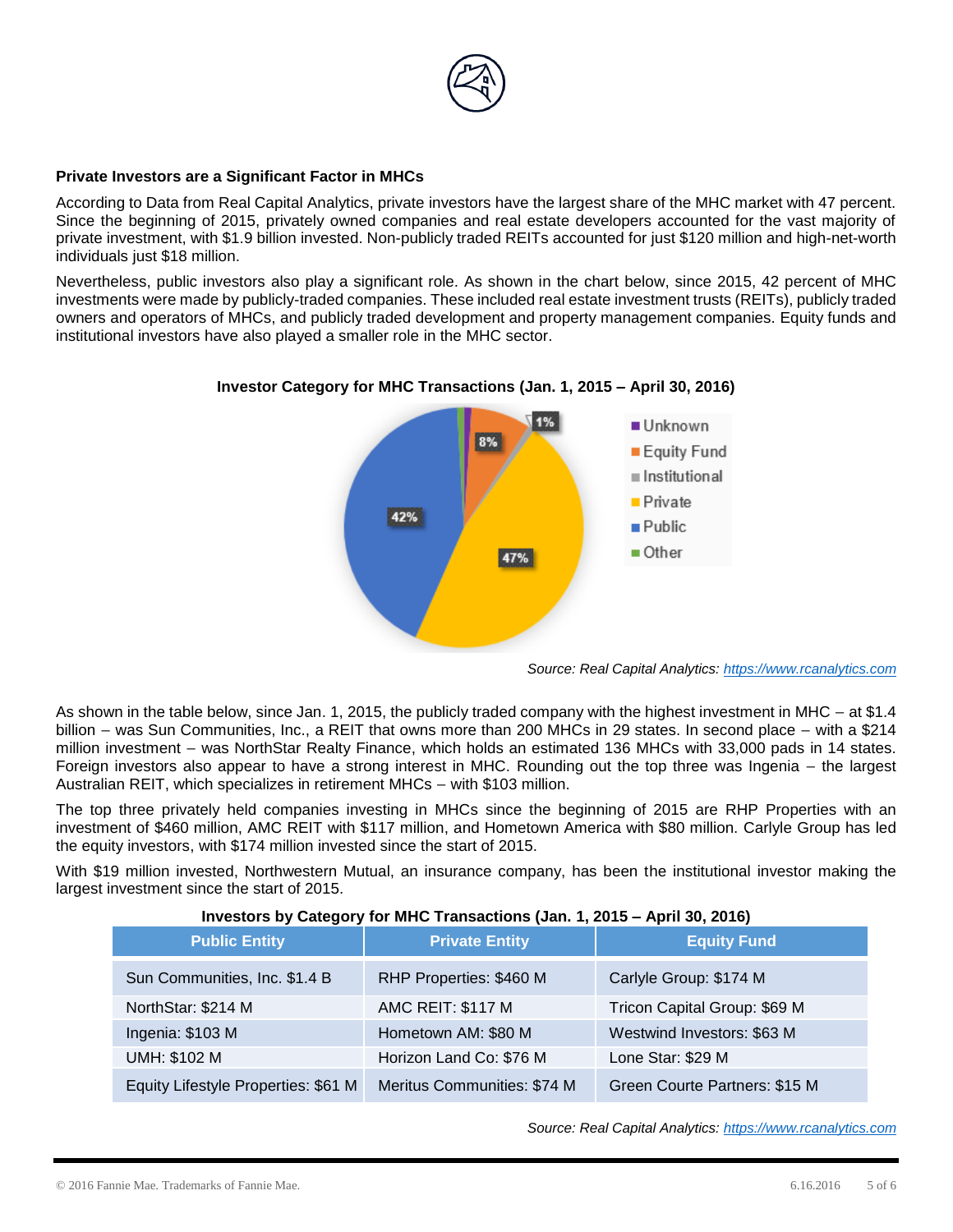

# **Private Investors are a Significant Factor in MHCs**

According to Data from Real Capital Analytics, private investors have the largest share of the MHC market with 47 percent. Since the beginning of 2015, privately owned companies and real estate developers accounted for the vast majority of private investment, with \$1.9 billion invested. Non-publicly traded REITs accounted for just \$120 million and high-net-worth individuals just \$18 million.

Nevertheless, public investors also play a significant role. As shown in the chart below, since 2015, 42 percent of MHC investments were made by publicly-traded companies. These included real estate investment trusts (REITs), publicly traded owners and operators of MHCs, and publicly traded development and property management companies. Equity funds and institutional investors have also played a smaller role in the MHC sector.



### **Investor Category for MHC Transactions (Jan. 1, 2015 – April 30, 2016)**

*Source: Real Capital Analytics: [https://www.rcanalytics.com](https://www.rcanalytics.com/)*

As shown in the table below, since Jan. 1, 2015, the publicly traded company with the highest investment in MHC – at \$1.4 billion – was Sun Communities, Inc., a REIT that owns more than 200 MHCs in 29 states. In second place – with a \$214 million investment – was NorthStar Realty Finance, which holds an estimated 136 MHCs with 33,000 pads in 14 states. Foreign investors also appear to have a strong interest in MHC. Rounding out the top three was Ingenia – the largest Australian REIT, which specializes in retirement MHCs – with \$103 million.

The top three privately held companies investing in MHCs since the beginning of 2015 are RHP Properties with an investment of \$460 million, AMC REIT with \$117 million, and Hometown America with \$80 million. Carlyle Group has led the equity investors, with \$174 million invested since the start of 2015.

With \$19 million invested, Northwestern Mutual, an insurance company, has been the institutional investor making the largest investment since the start of 2015.

| $\frac{1}{1111}$ $\frac{1}{1111}$ $\frac{1}{1111}$ $\frac{1}{1111}$ $\frac{1}{1111}$ $\frac{1}{1111}$ $\frac{1}{1111}$ $\frac{1}{1111}$ $\frac{1}{1111}$ $\frac{1}{1111}$ $\frac{1}{1111}$ $\frac{1}{1111}$ $\frac{1}{1111}$ $\frac{1}{1111}$ $\frac{1}{1111}$ |                             |                               |  |  |  |
|----------------------------------------------------------------------------------------------------------------------------------------------------------------------------------------------------------------------------------------------------------------|-----------------------------|-------------------------------|--|--|--|
| <b>Public Entity</b>                                                                                                                                                                                                                                           | <b>Private Entity</b>       | <b>Equity Fund</b>            |  |  |  |
| Sun Communities, Inc. \$1.4 B                                                                                                                                                                                                                                  | RHP Properties: \$460 M     | Carlyle Group: \$174 M        |  |  |  |
| NorthStar: \$214 M                                                                                                                                                                                                                                             | <b>AMC REIT: \$117 M</b>    | Tricon Capital Group: \$69 M  |  |  |  |
| Ingenia: \$103 M                                                                                                                                                                                                                                               | Hometown AM: \$80 M         | Westwind Investors: \$63 M    |  |  |  |
| <b>UMH: \$102 M</b>                                                                                                                                                                                                                                            | Horizon Land Co: \$76 M     | Lone Star: \$29 M             |  |  |  |
| Equity Lifestyle Properties: \$61 M                                                                                                                                                                                                                            | Meritus Communities: \$74 M | Green Courte Partners: \$15 M |  |  |  |

# **Investors by Category for MHC Transactions (Jan. 1, 2015 – April 30, 2016)**

*Source: Real Capital Analytics: [https://www.rcanalytics.com](https://www.rcanalytics.com/)*